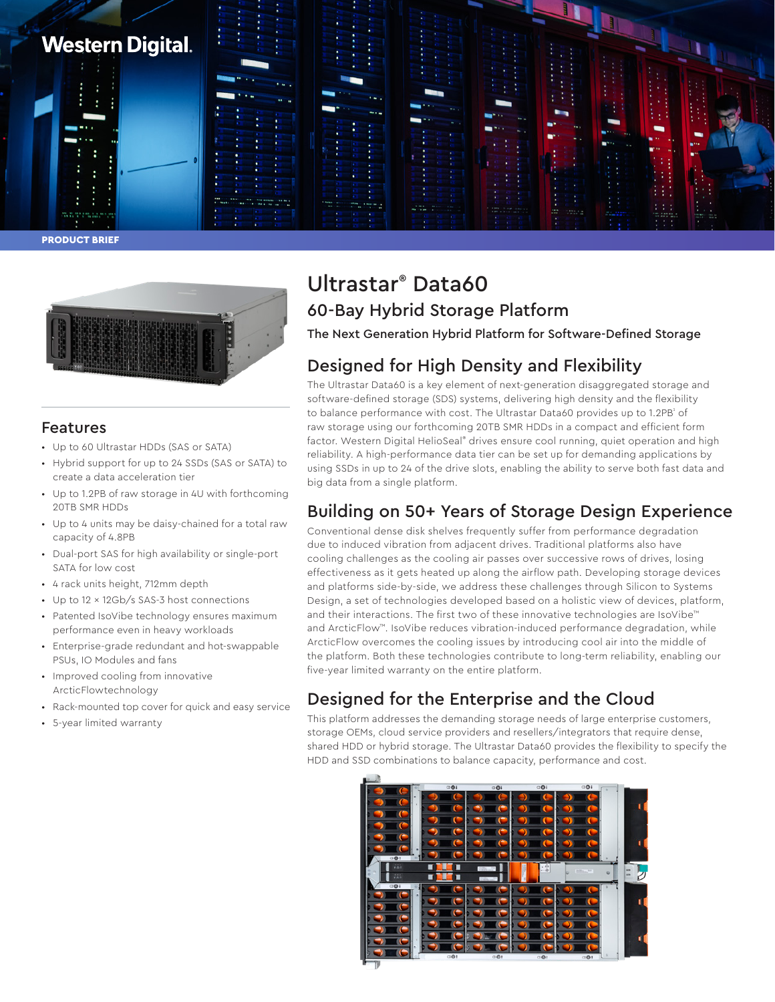

PRODUCT BRIEF



### Features

- Up to 60 Ultrastar HDDs (SAS or SATA)
- Hybrid support for up to 24 SSDs (SAS or SATA) to create a data acceleration tier
- Up to 1.2PB of raw storage in 4U with forthcoming 20TB SMR HDDs
- Up to 4 units may be daisy-chained for a total raw capacity of 4.8PB
- Dual-port SAS for high availability or single-port SATA for low cost
- 4 rack units height, 712mm depth
- Up to 12 x 12Gb/s SAS-3 host connections
- Patented IsoVibe technology ensures maximum performance even in heavy workloads
- Enterprise-grade redundant and hot-swappable PSUs, IO Modules and fans
- Improved cooling from innovative ArcticFlowtechnology
- Rack-mounted top cover for quick and easy service
- 5-year limited warranty

# Ultrastar® Data60 60-Bay Hybrid Storage Platform

The Next Generation Hybrid Platform for Software-Defined Storage

### Designed for High Density and Flexibility

The Ultrastar Data60 is a key element of next-generation disaggregated storage and software-defined storage (SDS) systems, delivering high density and the flexibility to balance performance with cost. The Ultrastar Data60 provides up to 1.2PB $^{\circ}$  of raw storage using our forthcoming 20TB SMR HDDs in a compact and efficient form factor. Western Digital HelioSeal® drives ensure cool running, quiet operation and high reliability. A high-performance data tier can be set up for demanding applications by using SSDs in up to 24 of the drive slots, enabling the ability to serve both fast data and big data from a single platform.

## Building on 50+ Years of Storage Design Experience

Conventional dense disk shelves frequently suffer from performance degradation due to induced vibration from adjacent drives. Traditional platforms also have cooling challenges as the cooling air passes over successive rows of drives, losing effectiveness as it gets heated up along the airflow path. Developing storage devices and platforms side-by-side, we address these challenges through Silicon to Systems Design, a set of technologies developed based on a holistic view of devices, platform, and their interactions. The first two of these innovative technologies are IsoVibe™ and ArcticFlow™. IsoVibe reduces vibration-induced performance degradation, while ArcticFlow overcomes the cooling issues by introducing cool air into the middle of the platform. Both these technologies contribute to long-term reliability, enabling our five-year limited warranty on the entire platform.

### Designed for the Enterprise and the Cloud

This platform addresses the demanding storage needs of large enterprise customers, storage OEMs, cloud service providers and resellers/integrators that require dense, shared HDD or hybrid storage. The Ultrastar Data60 provides the flexibility to specify the HDD and SSD combinations to balance capacity, performance and cost.